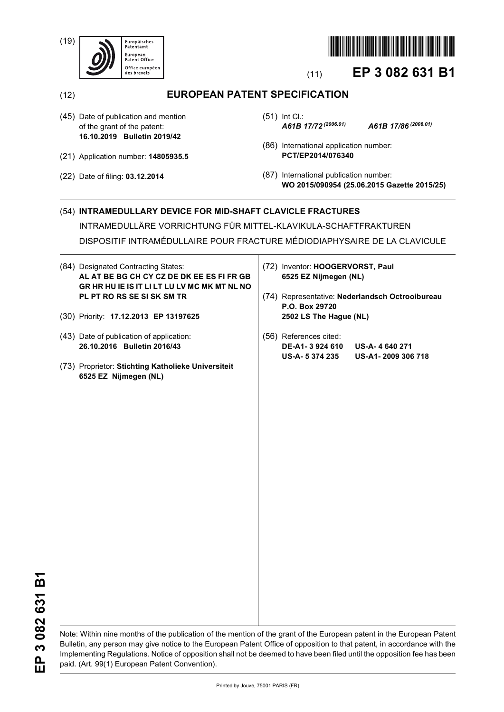(19)





# (11) **EP 3 082 631 B1**

(12) **EUROPEAN PATENT SPECIFICATION**

- (45) Date of publication and mention of the grant of the patent: **16.10.2019 Bulletin 2019/42**
- (21) Application number: **14805935.5**
- (22) Date of filing: **03.12.2014**
- (51) Int Cl.: *A61B 17/72 (2006.01) A61B 17/86 (2006.01)*
	-
- (86) International application number: **PCT/EP2014/076340**
- (87) International publication number: **WO 2015/090954 (25.06.2015 Gazette 2015/25)**

### (54) **INTRAMEDULLARY DEVICE FOR MID-SHAFT CLAVICLE FRACTURES**

INTRAMEDULLÄRE VORRICHTUNG FÜR MITTEL-KLAVIKULA-SCHAFTFRAKTUREN

DISPOSITIF INTRAMÉDULLAIRE POUR FRACTURE MÉDIODIAPHYSAIRE DE LA CLAVICULE

- (84) Designated Contracting States: **AL AT BE BG CH CY CZ DE DK EE ES FI FR GB GR HR HU IE IS IT LI LT LU LV MC MK MT NL NO PL PT RO RS SE SI SK SM TR**
- (30) Priority: **17.12.2013 EP 13197625**
- (43) Date of publication of application: **26.10.2016 Bulletin 2016/43**
- (73) Proprietor: **Stichting Katholieke Universiteit 6525 EZ Nijmegen (NL)**
- (72) Inventor: **HOOGERVORST, Paul 6525 EZ Nijmegen (NL)**
- (74) Representative: **Nederlandsch Octrooibureau P.O. Box 29720 2502 LS The Hague (NL)**
- (56) References cited: **DE-A1- 3 924 610 US-A- 4 640 271 US-A- 5 374 235 US-A1- 2009 306 718**

Note: Within nine months of the publication of the mention of the grant of the European patent in the European Patent Bulletin, any person may give notice to the European Patent Office of opposition to that patent, in accordance with the Implementing Regulations. Notice of opposition shall not be deemed to have been filed until the opposition fee has been paid. (Art. 99(1) European Patent Convention).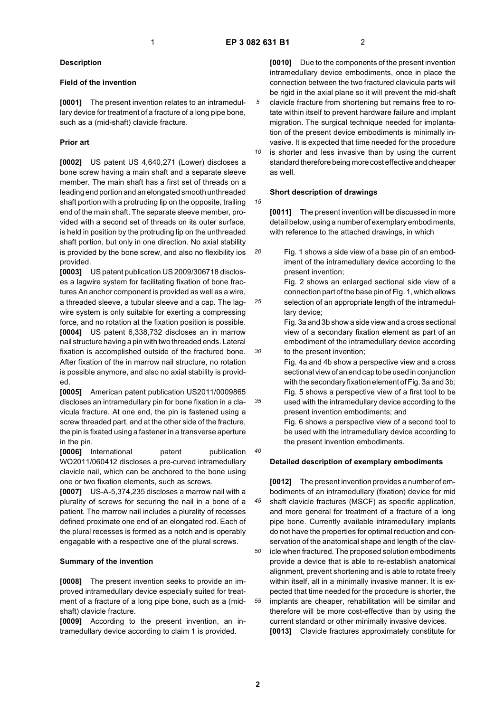*15*

*20*

*25*

*30*

*35*

*40*

#### **Description**

#### **Field of the invention**

**[0001]** The present invention relates to an intramedullary device for treatment of a fracture of a long pipe bone, such as a (mid-shaft) clavicle fracture.

#### **Prior art**

**[0002]** US patent US 4,640,271 (Lower) discloses a bone screw having a main shaft and a separate sleeve member. The main shaft has a first set of threads on a leading end portion and an elongated smooth unthreaded shaft portion with a protruding lip on the opposite, trailing end of the main shaft. The separate sleeve member, provided with a second set of threads on its outer surface, is held in position by the protruding lip on the unthreaded shaft portion, but only in one direction. No axial stability is provided by the bone screw, and also no flexibility ios provided.

**[0003]** US patent publication US 2009/306718 discloses a lagwire system for facilitating fixation of bone fractures An anchor component is provided as well as a wire, a threaded sleeve, a tubular sleeve and a cap. The lagwire system is only suitable for exerting a compressing force, and no rotation at the fixation position is possible. **[0004]** US patent 6,338,732 discloses an in marrow nail structure having a pin with two threaded ends. Lateral fixation is accomplished outside of the fractured bone. After fixation of the in marrow nail structure, no rotation is possible anymore, and also no axial stability is provided.

**[0005]** American patent publication US2011/0009865 discloses an intramedullary pin for bone fixation in a clavicula fracture. At one end, the pin is fastened using a screw threaded part, and at the other side of the fracture, the pin is fixated using a fastener in a transverse aperture in the pin.

**[0006]** International patent publication WO2011/060412 discloses a pre-curved intramedullary clavicle nail, which can be anchored to the bone using one or two fixation elements, such as screws.

**[0007]** US-A-5,374,235 discloses a marrow nail with a plurality of screws for securing the nail in a bone of a patient. The marrow nail includes a plurality of recesses defined proximate one end of an elongated rod. Each of the plural recesses is formed as a notch and is operably engagable with a respective one of the plural screws.

#### **Summary of the invention**

**[0008]** The present invention seeks to provide an improved intramedullary device especially suited for treatment of a fracture of a long pipe bone, such as a (midshaft) clavicle fracture.

**[0009]** According to the present invention, an intramedullary device according to claim 1 is provided.

**[0010]** Due to the components of the present invention intramedullary device embodiments, once in place the connection between the two fractured clavicula parts will be rigid in the axial plane so it will prevent the mid-shaft clavicle fracture from shortening but remains free to rotate within itself to prevent hardware failure and implant migration. The surgical technique needed for implantation of the present device embodiments is minimally invasive. It is expected that time needed for the procedure

*10* is shorter and less invasive than by using the current standard therefore being more cost effective and cheaper as well.

#### **Short description of drawings**

**[0011]** The present invention will be discussed in more detail below, using a number of exemplary embodiments, with reference to the attached drawings, in which

Fig. 1 shows a side view of a base pin of an embodiment of the intramedullary device according to the present invention;

Fig. 2 shows an enlarged sectional side view of a connection part of the base pin of Fig. 1, which allows selection of an appropriate length of the intramedullary device;

Fig. 3a and 3b show a side view and a cross sectional view of a secondary fixation element as part of an embodiment of the intramedullary device according to the present invention;

Fig. 4a and 4b show a perspective view and a cross sectional view of an end cap to be used in conjunction with the secondary fixation element of Fig. 3a and 3b; Fig. 5 shows a perspective view of a first tool to be used with the intramedullary device according to the present invention embodiments; and

Fig. 6 shows a perspective view of a second tool to be used with the intramedullary device according to the present invention embodiments.

#### **Detailed description of exemplary embodiments**

*45 50 55* **[0012]** The present invention provides a number of embodiments of an intramedullary (fixation) device for mid shaft clavicle fractures (MSCF) as specific application, and more general for treatment of a fracture of a long pipe bone. Currently available intramedullary implants do not have the properties for optimal reduction and conservation of the anatomical shape and length of the clavicle when fractured. The proposed solution embodiments provide a device that is able to re-establish anatomical alignment, prevent shortening and is able to rotate freely within itself, all in a minimally invasive manner. It is expected that time needed for the procedure is shorter, the implants are cheaper, rehabilitation will be similar and therefore will be more cost-effective than by using the current standard or other minimally invasive devices. **[0013]** Clavicle fractures approximately constitute for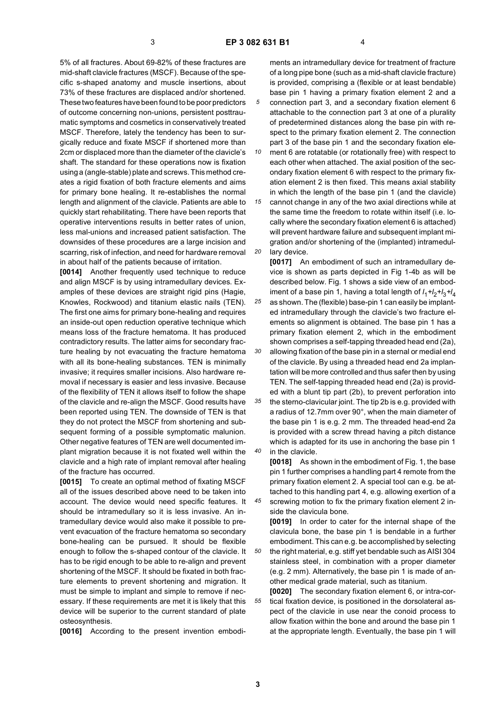*30*

5% of all fractures. About 69-82% of these fractures are mid-shaft clavicle fractures (MSCF). Because of the specific s-shaped anatomy and muscle insertions, about 73% of these fractures are displaced and/or shortened. These two features have been found to be poor predictors of outcome concerning non-unions, persistent posttraumatic symptoms and cosmetics in conservatively treated MSCF. Therefore, lately the tendency has been to surgically reduce and fixate MSCF if shortened more than 2cm or displaced more than the diameter of the clavicle's shaft. The standard for these operations now is fixation using a (angle-stable) plate and screws. This method creates a rigid fixation of both fracture elements and aims for primary bone healing. It re-establishes the normal length and alignment of the clavicle. Patients are able to quickly start rehabilitating. There have been reports that operative interventions results in better rates of union, less mal-unions and increased patient satisfaction. The downsides of these procedures are a large incision and scarring, risk of infection, and need for hardware removal in about half of the patients because of irritation.

**[0014]** Another frequently used technique to reduce and align MSCF is by using intramedullary devices. Examples of these devices are straight rigid pins (Hagie, Knowles, Rockwood) and titanium elastic nails (TEN). The first one aims for primary bone-healing and requires an inside-out open reduction operative technique which means loss of the fracture hematoma. It has produced contradictory results. The latter aims for secondary fracture healing by not evacuating the fracture hematoma with all its bone-healing substances. TEN is minimally invasive; it requires smaller incisions. Also hardware removal if necessary is easier and less invasive. Because of the flexibility of TEN it allows itself to follow the shape of the clavicle and re-align the MSCF. Good results have been reported using TEN. The downside of TEN is that they do not protect the MSCF from shortening and subsequent forming of a possible symptomatic malunion. Other negative features of TEN are well documented implant migration because it is not fixated well within the clavicle and a high rate of implant removal after healing of the fracture has occurred.

**[0015]** To create an optimal method of fixating MSCF all of the issues described above need to be taken into account. The device would need specific features. It should be intramedullary so it is less invasive. An intramedullary device would also make it possible to prevent evacuation of the fracture hematoma so secondary bone-healing can be pursued. It should be flexible enough to follow the s-shaped contour of the clavicle. It has to be rigid enough to be able to re-align and prevent shortening of the MSCF. It should be fixated in both fracture elements to prevent shortening and migration. It must be simple to implant and simple to remove if necessary. If these requirements are met it is likely that this device will be superior to the current standard of plate osteosynthesis.

**[0016]** According to the present invention embodi-

ments an intramedullary device for treatment of fracture of a long pipe bone (such as a mid-shaft clavicle fracture) is provided, comprising a (flexible or at least bendable) base pin 1 having a primary fixation element 2 and a connection part 3, and a secondary fixation element 6 attachable to the connection part 3 at one of a plurality of predetermined distances along the base pin with respect to the primary fixation element 2. The connection part 3 of the base pin 1 and the secondary fixation ele-

*10 15 20* ment 6 are rotatable (or rotationally free) with respect to each other when attached. The axial position of the secondary fixation element 6 with respect to the primary fixation element 2 is then fixed. This means axial stability in which the length of the base pin 1 (and the clavicle) cannot change in any of the two axial directions while at the same time the freedom to rotate within itself (i.e. locally where the secondary fixation element 6 is attached) will prevent hardware failure and subsequent implant migration and/or shortening of the (implanted) intramedullary device.

*25* **[0017]** An embodiment of such an intramedullary device is shown as parts depicted in Fig 1-4b as will be described below. Fig. 1 shows a side view of an embodiment of a base pin 1, having a total length of *l* <sup>1</sup>*+l*2*+l*3*+l*<sup>4</sup> as shown. The (flexible) base-pin 1 can easily be implanted intramedullary through the clavicle's two fracture elements so alignment is obtained. The base pin 1 has a primary fixation element 2, which in the embodiment

shown comprises a self-tapping threaded head end (2a), allowing fixation of the base pin in a sternal or medial end of the clavicle. By using a threaded head end 2a implantation will be more controlled and thus safer then by using TEN. The self-tapping threaded head end (2a) is provided with a blunt tip part (2b), to prevent perforation into

*35 40* the sterno-clavicular joint. The tip 2b is e.g. provided with a radius of 12.7mm over 90°, when the main diameter of the base pin 1 is e.g. 2 mm. The threaded head-end 2a is provided with a screw thread having a pitch distance which is adapted for its use in anchoring the base pin 1 in the clavicle.

**[0018]** As shown in the embodiment of Fig. 1, the base pin 1 further comprises a handling part 4 remote from the primary fixation element 2. A special tool can e.g. be attached to this handling part 4, e.g. allowing exertion of a

*45* screwing motion to fix the primary fixation element 2 inside the clavicula bone.

*50* **[0019]** In order to cater for the internal shape of the clavicula bone, the base pin 1 is bendable in a further embodiment. This can e.g. be accomplished by selecting the right material, e.g. stiff yet bendable such as AISI 304 stainless steel, in combination with a proper diameter (e.g. 2 mm). Alternatively, the base pin 1 is made of another medical grade material, such as titanium.

*55* **[0020]** The secondary fixation element 6, or intra-cortical fixation device, is positioned in the dorsolateral aspect of the clavicle in use near the conoid process to allow fixation within the bone and around the base pin 1 at the appropriate length. Eventually, the base pin 1 will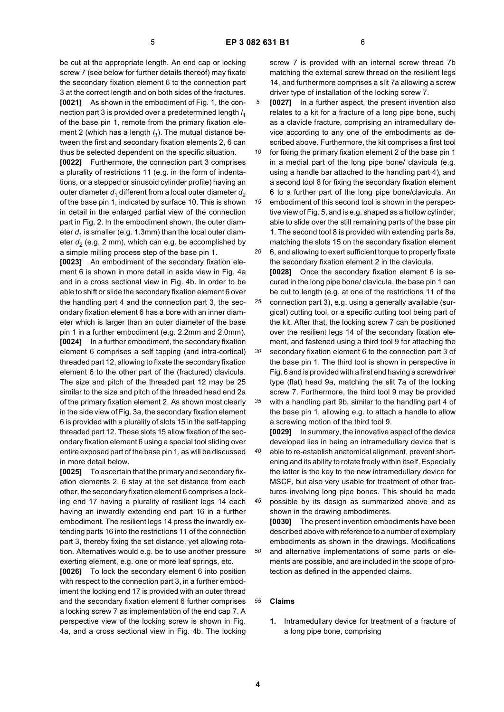be cut at the appropriate length. An end cap or locking screw 7 (see below for further details thereof) may fixate the secondary fixation element 6 to the connection part 3 at the correct length and on both sides of the fractures. **[0021]** As shown in the embodiment of Fig. 1, the connection part 3 is provided over a predetermined length *l* 1 of the base pin 1, remote from the primary fixation element 2 (which has a length *l* 3). The mutual distance between the first and secondary fixation elements 2, 6 can thus be selected dependent on the specific situation.

**[0022]** Furthermore, the connection part 3 comprises a plurality of restrictions 11 (e.g. in the form of indentations, or a stepped or sinusoid cylinder profile) having an outer diameter  $d_1$  different from a local outer diameter  $d_2$ of the base pin 1, indicated by surface 10. This is shown in detail in the enlarged partial view of the connection part in Fig. 2. In the embodiment shown, the outer diameter  $d_1$  is smaller (e.g. 1.3mm) than the local outer diameter  $d_2$  (e.g. 2 mm), which can e.g. be accomplished by a simple milling process step of the base pin 1.

**[0023]** An embodiment of the secondary fixation element 6 is shown in more detail in aside view in Fig. 4a and in a cross sectional view in Fig. 4b. In order to be able to shift or slide the secondary fixation element 6 over the handling part 4 and the connection part 3, the secondary fixation element 6 has a bore with an inner diameter which is larger than an outer diameter of the base pin 1 in a further embodiment (e.g. 2.2mm and 2.0mm). **[0024]** In a further embodiment, the secondary fixation element 6 comprises a self tapping (and intra-cortical) threaded part 12, allowing to fixate the secondary fixation element 6 to the other part of the (fractured) clavicula. The size and pitch of the threaded part 12 may be 25 similar to the size and pitch of the threaded head end 2a of the primary fixation element 2. As shown most clearly in the side view of Fig. 3a, the secondary fixation element 6 is provided with a plurality of slots 15 in the self-tapping threaded part 12. These slots 15 allow fixation of the secondary fixation element 6 using a special tool sliding over entire exposed part of the base pin 1, as will be discussed in more detail below.

**[0025]** To ascertain that the primary and secondary fixation elements 2, 6 stay at the set distance from each other, the secondary fixation element 6 comprises a locking end 17 having a plurality of resilient legs 14 each having an inwardly extending end part 16 in a further embodiment. The resilient legs 14 press the inwardly extending parts 16 into the restrictions 11 of the connection part 3, thereby fixing the set distance, yet allowing rotation. Alternatives would e.g. be to use another pressure exerting element, e.g. one or more leaf springs, etc.

**[0026]** To lock the secondary element 6 into position with respect to the connection part 3, in a further embodiment the locking end 17 is provided with an outer thread and the secondary fixation element 6 further comprises a locking screw 7 as implementation of the end cap 7. A perspective view of the locking screw is shown in Fig. 4a, and a cross sectional view in Fig. 4b. The locking screw 7 is provided with an internal screw thread 7b matching the external screw thread on the resilient legs 14, and furthermore comprises a slit 7a allowing a screw driver type of installation of the locking screw 7.

*5* **[0027]** In a further aspect, the present invention also relates to a kit for a fracture of a long pipe bone, suchj as a clavicle fracture, comprising an intramedullary device according to any one of the embodiments as described above. Furthermore, the kit comprises a first tool

*10 15* for fixing the primary fixation element 2 of the base pin 1 in a medial part of the long pipe bone/ clavicula (e.g. using a handle bar attached to the handling part 4), and a second tool 8 for fixing the secondary fixation element 6 to a further part of the long pipe bone/clavicula. An embodiment of this second tool is shown in the perspec-

*20* tive view of Fig. 5, and is e.g. shaped as a hollow cylinder, able to slide over the still remaining parts of the base pin 1. The second tool 8 is provided with extending parts 8a, matching the slots 15 on the secondary fixation element 6, and allowing to exert sufficient torque to properly fixate

*25* the secondary fixation element 2 in the clavicula. **[0028]** Once the secondary fixation element 6 is secured in the long pipe bone/ clavicula, the base pin 1 can be cut to length (e.g. at one of the restrictions 11 of the connection part 3), e.g. using a generally available (surgical) cutting tool, or a specific cutting tool being part of

*30* the kit. After that, the locking screw 7 can be positioned over the resilient legs 14 of the secondary fixation element, and fastened using a third tool 9 for attaching the secondary fixation element 6 to the connection part 3 of the base pin 1. The third tool is shown in perspective in Fig. 6 and is provided with a first end having a screwdriver

*35* type (flat) head 9a, matching the slit 7a of the locking screw 7. Furthermore, the third tool 9 may be provided with a handling part 9b, similar to the handling part 4 of the base pin 1, allowing e.g. to attach a handle to allow

a screwing motion of the third tool 9. **[0029]** In summary, the innovative aspect of the device developed lies in being an intramedullary device that is

*40 45* able to re-establish anatomical alignment, prevent shortening and its ability to rotate freely within itself. Especially the latter is the key to the new intramedullary device for MSCF, but also very usable for treatment of other fractures involving long pipe bones. This should be made

possible by its design as summarized above and as shown in the drawing embodiments. **[0030]** The present invention embodiments have been

described above with reference to a number of exemplary embodiments as shown in the drawings. Modifications and alternative implementations of some parts or elements are possible, and are included in the scope of protection as defined in the appended claims.

#### *55* **Claims**

**1.** Intramedullary device for treatment of a fracture of a long pipe bone, comprising

*50*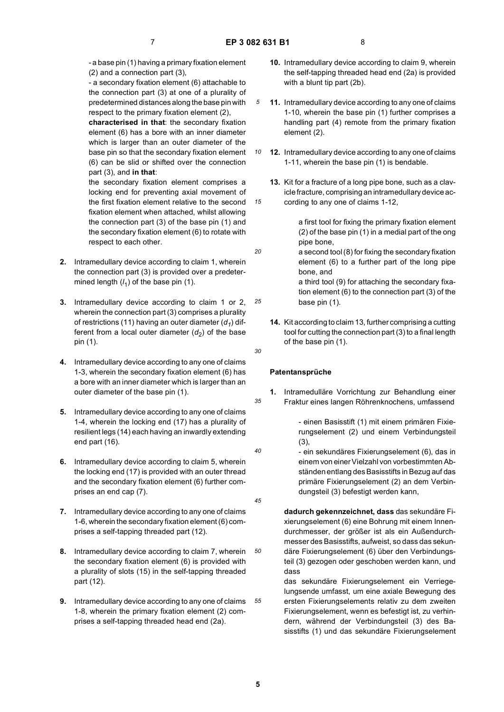*10*

*15*

*20*

*25*

*30*

*35*

*40*

*45*

- a base pin (1) having a primary fixation element (2) and a connection part (3),

- a secondary fixation element (6) attachable to the connection part (3) at one of a plurality of predetermined distances along the base pin with respect to the primary fixation element (2),

**characterised in that**: the secondary fixation element (6) has a bore with an inner diameter which is larger than an outer diameter of the base pin so that the secondary fixation element (6) can be slid or shifted over the connection part (3), and **in that**:

the secondary fixation element comprises a locking end for preventing axial movement of the first fixation element relative to the second fixation element when attached, whilst allowing the connection part (3) of the base pin (1) and the secondary fixation element (6) to rotate with respect to each other.

- **2.** Intramedullary device according to claim 1, wherein the connection part (3) is provided over a predetermined length (*l* 1) of the base pin (1).
- **3.** Intramedullary device according to claim 1 or 2, wherein the connection part (3) comprises a plurality of restrictions (11) having an outer diameter  $(d_1)$  different from a local outer diameter  $(d_2)$  of the base pin (1).
- **4.** Intramedullary device according to any one of claims 1-3, wherein the secondary fixation element (6) has a bore with an inner diameter which is larger than an outer diameter of the base pin (1).
- **5.** Intramedullary device according to any one of claims 1-4, wherein the locking end (17) has a plurality of resilient legs (14) each having an inwardly extending end part (16).
- **6.** Intramedullary device according to claim 5, wherein the locking end (17) is provided with an outer thread and the secondary fixation element (6) further comprises an end cap (7).
- **7.** Intramedullary device according to any one of claims 1-6, wherein the secondary fixation element (6) comprises a self-tapping threaded part (12).
- *50* **8.** Intramedullary device according to claim 7, wherein the secondary fixation element (6) is provided with a plurality of slots (15) in the self-tapping threaded part (12).
- *55* **9.** Intramedullary device according to any one of claims 1-8, wherein the primary fixation element (2) comprises a self-tapping threaded head end (2a).
- **10.** Intramedullary device according to claim 9, wherein the self-tapping threaded head end (2a) is provided with a blunt tip part (2b).
- **11.** Intramedullary device according to any one of claims 1-10, wherein the base pin (1) further comprises a handling part (4) remote from the primary fixation element (2).
- **12.** Intramedullary device according to any one of claims 1-11, wherein the base pin (1) is bendable.
	- **13.** Kit for a fracture of a long pipe bone, such as a clavicle fracture, comprising an intramedullary device according to any one of claims 1-12,

a first tool for fixing the primary fixation element (2) of the base pin (1) in a medial part of the ong pipe bone,

a second tool (8) for fixing the secondary fixation element (6) to a further part of the long pipe bone, and

a third tool (9) for attaching the secondary fixation element (6) to the connection part (3) of the base pin (1).

**14.** Kit according to claim 13, further comprising a cutting tool for cutting the connection part (3) to a final length of the base pin (1).

## **Patentansprüche**

**1.** Intramedulläre Vorrichtung zur Behandlung einer Fraktur eines langen Röhrenknochens, umfassend

> - einen Basisstift (1) mit einem primären Fixierungselement (2) und einem Verbindungsteil (3),

- ein sekundäres Fixierungselement (6), das in einem von einer Vielzahl von vorbestimmten Abständen entlang des Basisstifts in Bezug auf das primäre Fixierungselement (2) an dem Verbindungsteil (3) befestigt werden kann,

**dadurch gekennzeichnet, dass** das sekundäre Fixierungselement (6) eine Bohrung mit einem Innendurchmesser, der größer ist als ein Außendurchmesser des Basisstifts, aufweist, so dass das sekundäre Fixierungselement (6) über den Verbindungsteil (3) gezogen oder geschoben werden kann, und dass

das sekundäre Fixierungselement ein Verriegelungsende umfasst, um eine axiale Bewegung des ersten Fixierungselements relativ zu dem zweiten Fixierungselement, wenn es befestigt ist, zu verhindern, während der Verbindungsteil (3) des Basisstifts (1) und das sekundäre Fixierungselement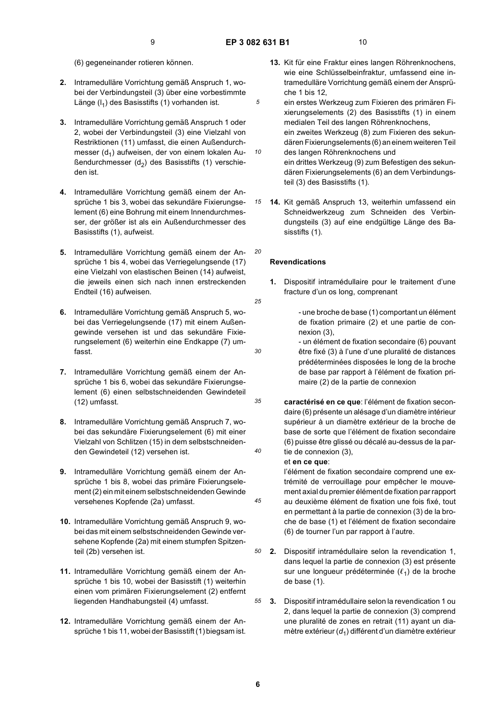*10*

*15*

*20*

*25*

*30*

*35*

*40*

*45*

- (6) gegeneinander rotieren können.
- **2.** Intramedulläre Vorrichtung gemäß Anspruch 1, wobei der Verbindungsteil (3) über eine vorbestimmte Länge (I<sub>1</sub>) des Basisstifts (1) vorhanden ist.
- **3.** Intramedulläre Vorrichtung gemäß Anspruch 1 oder 2, wobei der Verbindungsteil (3) eine Vielzahl von Restriktionen (11) umfasst, die einen Außendurchmesser  $(d_1)$  aufweisen, der von einem lokalen Außendurchmesser (d<sub>2</sub>) des Basisstifts (1) verschieden ist.
- **4.** Intramedulläre Vorrichtung gemäß einem der Ansprüche 1 bis 3, wobei das sekundäre Fixierungselement (6) eine Bohrung mit einem Innendurchmesser, der größer ist als ein Außendurchmesser des Basisstifts (1), aufweist.
- **5.** Intramedulläre Vorrichtung gemäß einem der Ansprüche 1 bis 4, wobei das Verriegelungsende (17) eine Vielzahl von elastischen Beinen (14) aufweist, die jeweils einen sich nach innen erstreckenden Endteil (16) aufweisen.
- **6.** Intramedulläre Vorrichtung gemäß Anspruch 5, wobei das Verriegelungsende (17) mit einem Außengewinde versehen ist und das sekundäre Fixierungselement (6) weiterhin eine Endkappe (7) umfasst.
- **7.** Intramedulläre Vorrichtung gemäß einem der Ansprüche 1 bis 6, wobei das sekundäre Fixierungselement (6) einen selbstschneidenden Gewindeteil (12) umfasst.
- **8.** Intramedulläre Vorrichtung gemäß Anspruch 7, wobei das sekundäre Fixierungselement (6) mit einer Vielzahl von Schlitzen (15) in dem selbstschneidenden Gewindeteil (12) versehen ist.
- **9.** Intramedulläre Vorrichtung gemäß einem der Ansprüche 1 bis 8, wobei das primäre Fixierungselement (2) ein mit einem selbstschneidenden Gewinde versehenes Kopfende (2a) umfasst.
- **10.** Intramedulläre Vorrichtung gemäß Anspruch 9, wobei das mit einem selbstschneidenden Gewinde versehene Kopfende (2a) mit einem stumpfen Spitzenteil (2b) versehen ist.
- **11.** Intramedulläre Vorrichtung gemäß einem der Ansprüche 1 bis 10, wobei der Basisstift (1) weiterhin einen vom primären Fixierungselement (2) entfernt liegenden Handhabungsteil (4) umfasst.
- **12.** Intramedulläre Vorrichtung gemäß einem der Ansprüche 1 bis 11, wobei der Basisstift (1) biegsam ist.
- **13.** Kit für eine Fraktur eines langen Röhrenknochens, wie eine Schlüsselbeinfraktur, umfassend eine intramedulläre Vorrichtung gemäß einem der Ansprüche 1 bis 12,
- ein erstes Werkzeug zum Fixieren des primären Fixierungselements (2) des Basisstifts (1) in einem medialen Teil des langen Röhrenknochens, ein zweites Werkzeug (8) zum Fixieren des sekundären Fixierungselements (6) an einem weiteren Teil des langen Röhrenknochens und ein drittes Werkzeug (9) zum Befestigen des sekundären Fixierungselements (6) an dem Verbindungs-
- **14.** Kit gemäß Anspruch 13, weiterhin umfassend ein Schneidwerkzeug zum Schneiden des Verbindungsteils (3) auf eine endgültige Länge des Basisstifts (1).

teil (3) des Basisstifts (1).

#### **Revendications**

- **1.** Dispositif intramédullaire pour le traitement d'une fracture d'un os long, comprenant
	- une broche de base (1) comportant un élément de fixation primaire (2) et une partie de connexion (3),
	- un élément de fixation secondaire (6) pouvant être fixé (3) à l'une d'une pluralité de distances prédéterminées disposées le long de la broche de base par rapport à l'élément de fixation primaire (2) de la partie de connexion
- **caractérisé en ce que**: l'élément de fixation secondaire (6) présente un alésage d'un diamètre intérieur supérieur à un diamètre extérieur de la broche de base de sorte que l'élément de fixation secondaire (6) puisse être glissé ou décalé au-dessus de la partie de connexion (3),

#### et **en ce que**:

l'élément de fixation secondaire comprend une extrémité de verrouillage pour empêcher le mouvement axial du premier élément de fixation par rapport au deuxième élément de fixation une fois fixé, tout en permettant à la partie de connexion (3) de la broche de base (1) et l'élément de fixation secondaire (6) de tourner l'un par rapport à l'autre.

- *50* **2.** Dispositif intramédullaire selon la revendication 1, dans lequel la partie de connexion (3) est présente sur une longueur prédéterminée  $(\ell_1)$  de la broche de base (1).
- *55* **3.** Dispositif intramédullaire selon la revendication 1 ou 2, dans lequel la partie de connexion (3) comprend une pluralité de zones en retrait (11) ayant un diamètre extérieur (d<sub>1</sub>) différent d'un diamètre extérieur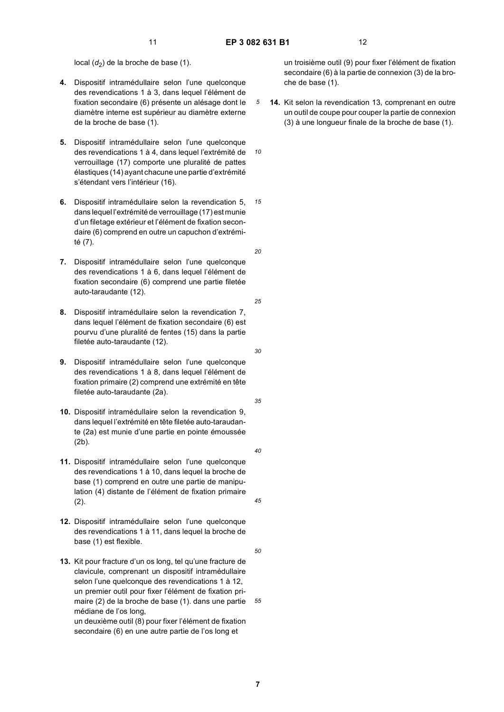*10*

*15*

local  $(d_2)$  de la broche de base (1).

- **4.** Dispositif intramédullaire selon l'une quelconque des revendications 1 à 3, dans lequel l'élément de fixation secondaire (6) présente un alésage dont le diamètre interne est supérieur au diamètre externe de la broche de base (1).
- **5.** Dispositif intramédullaire selon l'une quelconque des revendications 1 à 4, dans lequel l'extrémité de verrouillage (17) comporte une pluralité de pattes élastiques (14) ayant chacune une partie d'extrémité s'étendant vers l'intérieur (16).
- **6.** Dispositif intramédullaire selon la revendication 5, dans lequel l'extrémité de verrouillage (17) est munie d'un filetage extérieur et l'élément de fixation secondaire (6) comprend en outre un capuchon d'extrémité (7).
- **7.** Dispositif intramédullaire selon l'une quelconque des revendications 1 à 6, dans lequel l'élément de fixation secondaire (6) comprend une partie filetée auto-taraudante (12).
- **8.** Dispositif intramédullaire selon la revendication 7, dans lequel l'élément de fixation secondaire (6) est pourvu d'une pluralité de fentes (15) dans la partie filetée auto-taraudante (12).
- **9.** Dispositif intramédullaire selon l'une quelconque des revendications 1 à 8, dans lequel l'élément de fixation primaire (2) comprend une extrémité en tête filetée auto-taraudante (2a).
- **10.** Dispositif intramédullaire selon la revendication 9, dans lequel l'extrémité en tête filetée auto-taraudante (2a) est munie d'une partie en pointe émoussée (2b).
- **11.** Dispositif intramédullaire selon l'une quelconque des revendications 1 à 10, dans lequel la broche de base (1) comprend en outre une partie de manipulation (4) distante de l'élément de fixation primaire  $(2)$ .
- **12.** Dispositif intramédullaire selon l'une quelconque des revendications 1 à 11, dans lequel la broche de base (1) est flexible.
- **13.** Kit pour fracture d'un os long, tel qu'une fracture de clavicule, comprenant un dispositif intramédullaire selon l'une quelconque des revendications 1 à 12, un premier outil pour fixer l'élément de fixation primaire (2) de la broche de base (1). dans une partie médiane de l'os long, un deuxième outil (8) pour fixer l'élément de fixation

secondaire (6) en une autre partie de l'os long et

un troisième outil (9) pour fixer l'élément de fixation secondaire (6) à la partie de connexion (3) de la broche de base (1).

**14.** Kit selon la revendication 13, comprenant en outre un outil de coupe pour couper la partie de connexion (3) à une longueur finale de la broche de base (1).

*20*

*25*

*30*

*35*

*40*

*50*

*45*

*55*

**7**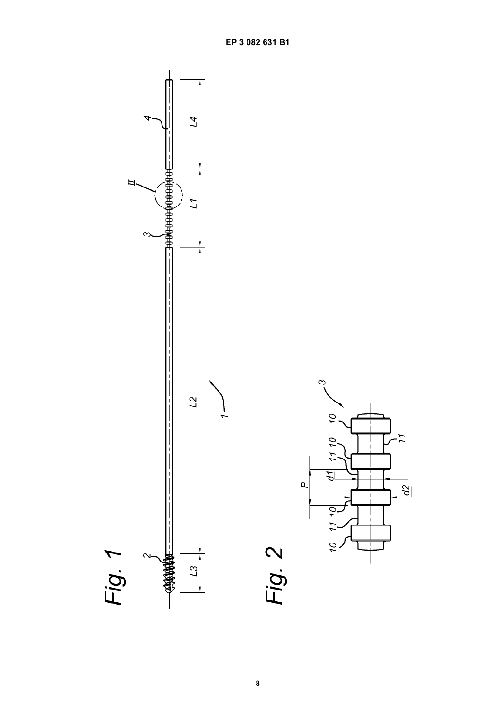

IJ

 $\overline{a}$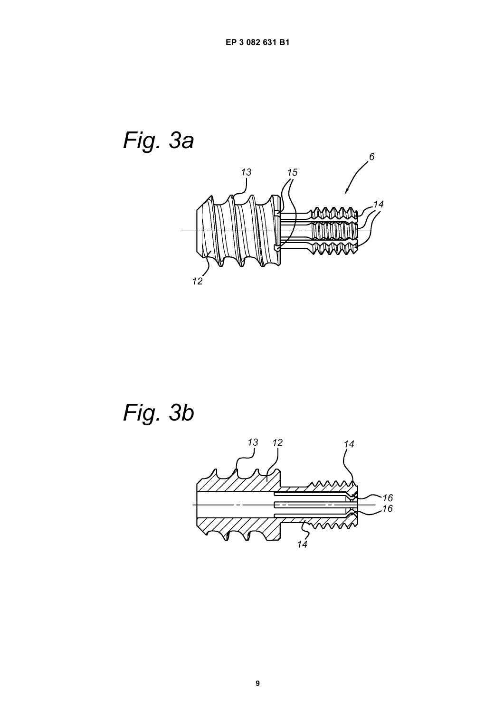

Fig. 3b

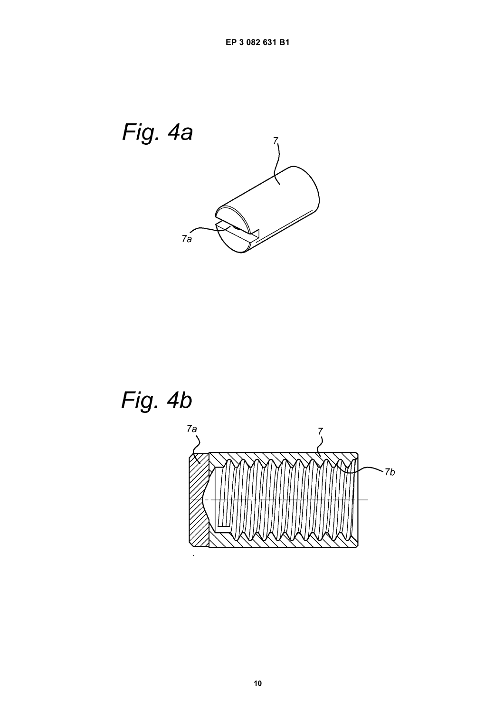

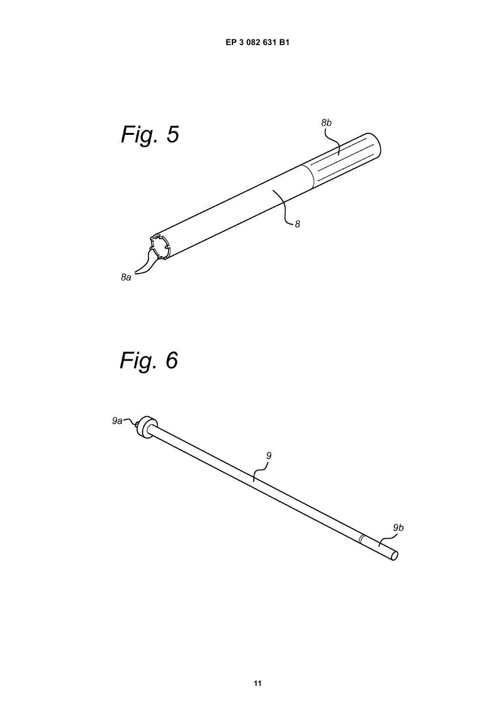